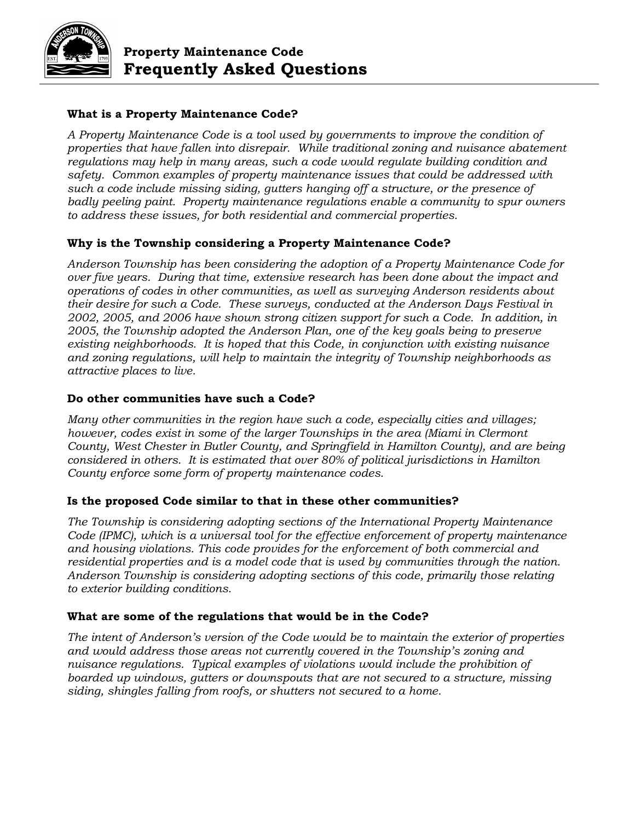

## **What is a Property Maintenance Code?**

*A Property Maintenance Code is a tool used by governments to improve the condition of properties that have fallen into disrepair. While traditional zoning and nuisance abatement regulations may help in many areas, such a code would regulate building condition and safety. Common examples of property maintenance issues that could be addressed with such a code include missing siding, gutters hanging off a structure, or the presence of badly peeling paint. Property maintenance regulations enable a community to spur owners to address these issues, for both residential and commercial properties.*

# **Why is the Township considering a Property Maintenance Code?**

*Anderson Township has been considering the adoption of a Property Maintenance Code for over five years. During that time, extensive research has been done about the impact and operations of codes in other communities, as well as surveying Anderson residents about their desire for such a Code. These surveys, conducted at the Anderson Days Festival in 2002, 2005, and 2006 have shown strong citizen support for such a Code. In addition, in 2005, the Township adopted the Anderson Plan, one of the key goals being to preserve existing neighborhoods. It is hoped that this Code, in conjunction with existing nuisance and zoning regulations, will help to maintain the integrity of Township neighborhoods as attractive places to live.* 

### **Do other communities have such a Code?**

*Many other communities in the region have such a code, especially cities and villages; however, codes exist in some of the larger Townships in the area (Miami in Clermont County, West Chester in Butler County, and Springfield in Hamilton County), and are being considered in others. It is estimated that over 80% of political jurisdictions in Hamilton County enforce some form of property maintenance codes.* 

### **Is the proposed Code similar to that in these other communities?**

*The Township is considering adopting sections of the International Property Maintenance Code (IPMC), which is a universal tool for the effective enforcement of property maintenance and housing violations. This code provides for the enforcement of both commercial and residential properties and is a model code that is used by communities through the nation. Anderson Township is considering adopting sections of this code, primarily those relating to exterior building conditions.*

### **What are some of the regulations that would be in the Code?**

*The intent of Anderson's version of the Code would be to maintain the exterior of properties and would address those areas not currently covered in the Township's zoning and nuisance regulations. Typical examples of violations would include the prohibition of boarded up windows, gutters or downspouts that are not secured to a structure, missing siding, shingles falling from roofs, or shutters not secured to a home.*